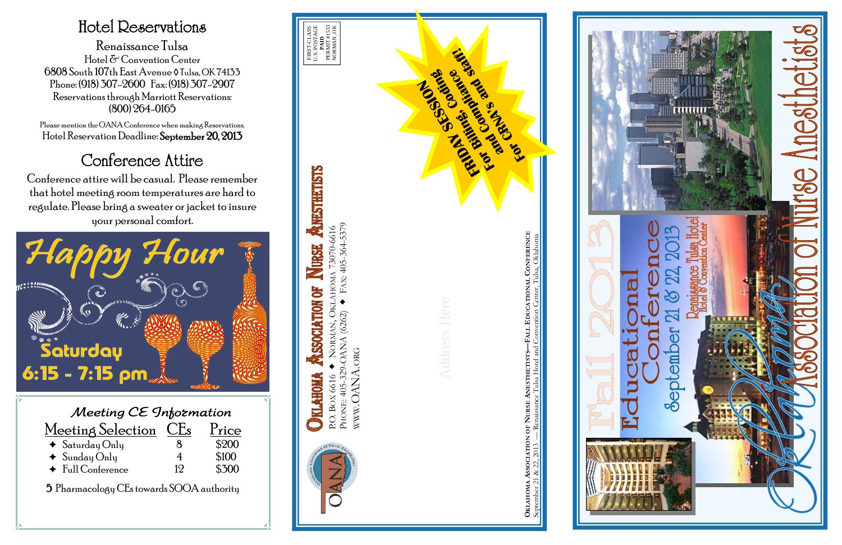| Meeting CE Information          |    |       |  |  |
|---------------------------------|----|-------|--|--|
| Meeting Selection CEs           |    | Price |  |  |
| $\triangleleft$ Saturday Only   |    | \$200 |  |  |
| $\triangleleft$ Sunday Only     | 4  | \$100 |  |  |
| $\blacklozenge$ Full Conference | 19 | \$300 |  |  |

5 Pharmacology CEs towards SOOA authority

## Hotel Reservations

Renaissance Tulsa Hotel & Convention Center 6808 South 107th East Avenue ◊ Tulsa, OK 74133 Phone: (918) 307-2600 Fax: (918) 307-2907 Reservations through Marriott Reservations: (800) 264-0165

Please mention the OANA Conference when making Reservations. Hotel Reservation Deadline: September 20, 2013

# Conference Attire

Conference attire will be casual. Please remember that hotel meeting room temperatures are hard to regulate. Please bring a sweater or jacket to insure your personal comfort.